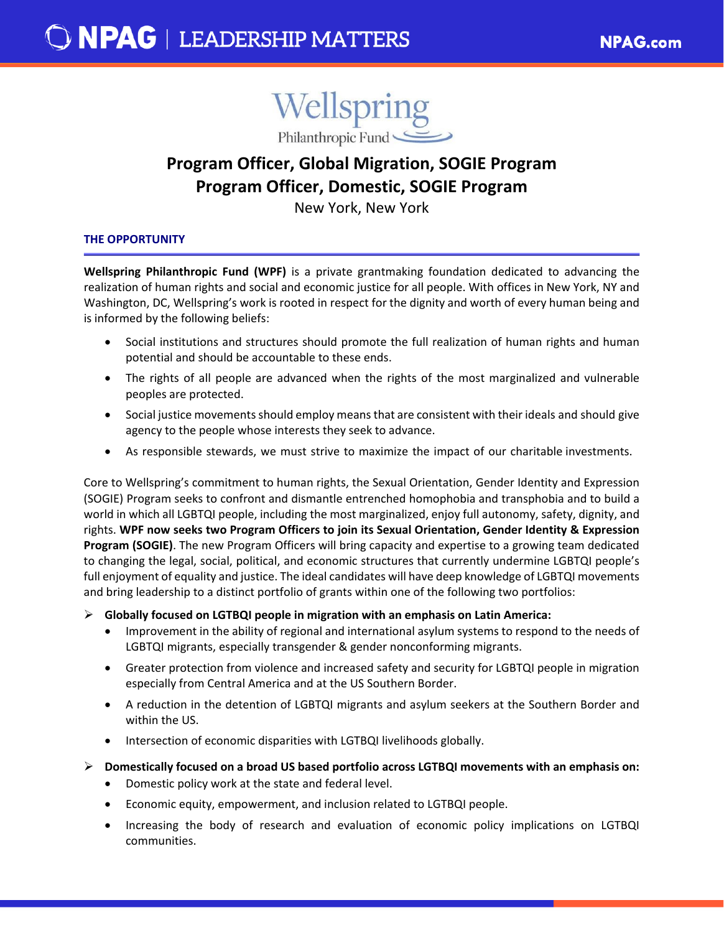

# **Program Officer, Global Migration, SOGIE Program Program Officer, Domestic, SOGIE Program**

New York, New York

# **THE OPPORTUNITY**

**Wellspring Philanthropic Fund (WPF)** is a private grantmaking foundation dedicated to advancing the realization of human rights and social and economic justice for all people. With offices in New York, NY and Washington, DC, Wellspring's work is rooted in respect for the dignity and worth of every human being and is informed by the following beliefs:

- Social institutions and structures should promote the full realization of human rights and human potential and should be accountable to these ends.
- The rights of all people are advanced when the rights of the most marginalized and vulnerable peoples are protected.
- Social justice movements should employ means that are consistent with their ideals and should give agency to the people whose interests they seek to advance.
- As responsible stewards, we must strive to maximize the impact of our charitable investments.

Core to Wellspring's commitment to human rights, the Sexual Orientation, Gender Identity and Expression (SOGIE) Program seeks to confront and dismantle entrenched homophobia and transphobia and to build a world in which all LGBTQI people, including the most marginalized, enjoy full autonomy, safety, dignity, and rights. **WPF now seeks two Program Officers to join its Sexual Orientation, Gender Identity & Expression Program (SOGIE)**. The new Program Officers will bring capacity and expertise to a growing team dedicated to changing the legal, social, political, and economic structures that currently undermine LGBTQI people's full enjoyment of equality and justice. The ideal candidates will have deep knowledge of LGBTQI movements and bring leadership to a distinct portfolio of grants within one of the following two portfolios:

**Globally focused on LGTBQI people in migration with an emphasis on Latin America:**

- Improvement in the ability of regional and international asylum systems to respond to the needs of LGBTQI migrants, especially transgender & gender nonconforming migrants.
- Greater protection from violence and increased safety and security for LGBTQI people in migration especially from Central America and at the US Southern Border.
- A reduction in the detention of LGBTQI migrants and asylum seekers at the Southern Border and within the US.
- Intersection of economic disparities with LGTBQI livelihoods globally.
- **Domestically focused on a broad US based portfolio across LGTBQI movements with an emphasis on:**
	- Domestic policy work at the state and federal level.
	- Economic equity, empowerment, and inclusion related to LGTBQI people.
	- Increasing the body of research and evaluation of economic policy implications on LGTBQI communities.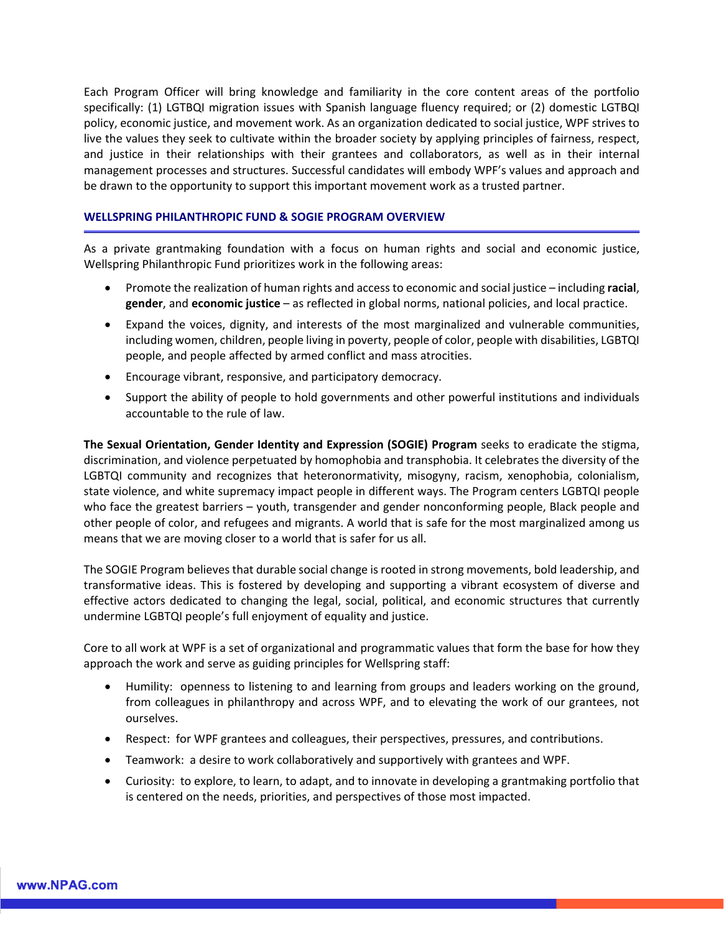Each Program Officer will bring knowledge and familiarity in the core content areas of the portfolio specifically: (1) LGTBQI migration issues with Spanish language fluency required; or (2) domestic LGTBQI policy, economic justice, and movement work. As an organization dedicated to social justice, WPF strives to live the values they seek to cultivate within the broader society by applying principles of fairness, respect, and justice in their relationships with their grantees and collaborators, as well as in their internal management processes and structures. Successful candidates will embody WPF's values and approach and be drawn to the opportunity to support this important movement work as a trusted partner.

## **WELLSPRING PHILANTHROPIC FUND & SOGIE PROGRAM OVERVIEW**

As a private grantmaking foundation with a focus on human rights and social and economic justice, Wellspring Philanthropic Fund prioritizes work in the following areas:

- Promote the realization of human rights and access to economic and social justice including **racial**, **gender**, and **economic justice** – as reflected in global norms, national policies, and local practice.
- Expand the voices, dignity, and interests of the most marginalized and vulnerable communities, including women, children, people living in poverty, people of color, people with disabilities, LGBTQI people, and people affected by armed conflict and mass atrocities.
- Encourage vibrant, responsive, and participatory democracy.
- Support the ability of people to hold governments and other powerful institutions and individuals accountable to the rule of law.

**The Sexual Orientation, Gender Identity and Expression (SOGIE) Program** seeks to eradicate the stigma, discrimination, and violence perpetuated by homophobia and transphobia. It celebrates the diversity of the LGBTQI community and recognizes that heteronormativity, misogyny, racism, xenophobia, colonialism, state violence, and white supremacy impact people in different ways. The Program centers LGBTQI people who face the greatest barriers – youth, transgender and gender nonconforming people, Black people and other people of color, and refugees and migrants. A world that is safe for the most marginalized among us means that we are moving closer to a world that is safer for us all.

The SOGIE Program believes that durable social change is rooted in strong movements, bold leadership, and transformative ideas. This is fostered by developing and supporting a vibrant ecosystem of diverse and effective actors dedicated to changing the legal, social, political, and economic structures that currently undermine LGBTQI people's full enjoyment of equality and justice.

Core to all work at WPF is a set of organizational and programmatic values that form the base for how they approach the work and serve as guiding principles for Wellspring staff:

- Humility: openness to listening to and learning from groups and leaders working on the ground, from colleagues in philanthropy and across WPF, and to elevating the work of our grantees, not ourselves.
- Respect: for WPF grantees and colleagues, their perspectives, pressures, and contributions.
- Teamwork: a desire to work collaboratively and supportively with grantees and WPF.
- Curiosity: to explore, to learn, to adapt, and to innovate in developing a grantmaking portfolio that is centered on the needs, priorities, and perspectives of those most impacted.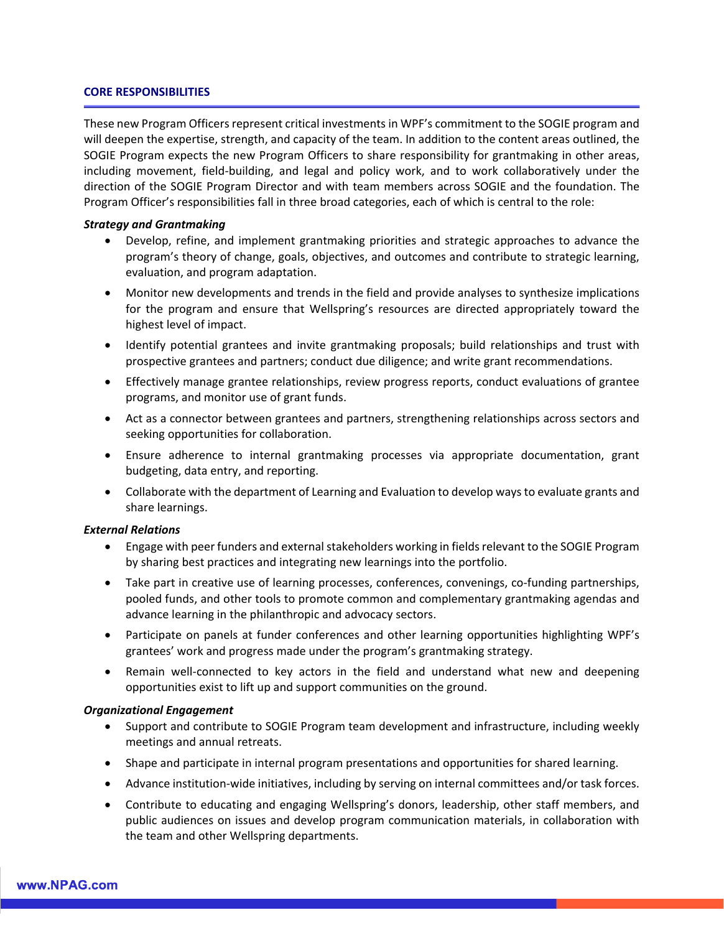#### **CORE RESPONSIBILITIES**

These new Program Officers represent critical investments in WPF's commitment to the SOGIE program and will deepen the expertise, strength, and capacity of the team. In addition to the content areas outlined, the SOGIE Program expects the new Program Officers to share responsibility for grantmaking in other areas, including movement, field-building, and legal and policy work, and to work collaboratively under the direction of the SOGIE Program Director and with team members across SOGIE and the foundation. The Program Officer's responsibilities fall in three broad categories, each of which is central to the role:

#### *Strategy and Grantmaking*

- Develop, refine, and implement grantmaking priorities and strategic approaches to advance the program's theory of change, goals, objectives, and outcomes and contribute to strategic learning, evaluation, and program adaptation.
- Monitor new developments and trends in the field and provide analyses to synthesize implications for the program and ensure that Wellspring's resources are directed appropriately toward the highest level of impact.
- Identify potential grantees and invite grantmaking proposals; build relationships and trust with prospective grantees and partners; conduct due diligence; and write grant recommendations.
- Effectively manage grantee relationships, review progress reports, conduct evaluations of grantee programs, and monitor use of grant funds.
- Act as a connector between grantees and partners, strengthening relationships across sectors and seeking opportunities for collaboration.
- Ensure adherence to internal grantmaking processes via appropriate documentation, grant budgeting, data entry, and reporting.
- Collaborate with the department of Learning and Evaluation to develop ways to evaluate grants and share learnings.

### *External Relations*

- Engage with peer funders and external stakeholders working in fields relevant to the SOGIE Program by sharing best practices and integrating new learnings into the portfolio.
- Take part in creative use of learning processes, conferences, convenings, co-funding partnerships, pooled funds, and other tools to promote common and complementary grantmaking agendas and advance learning in the philanthropic and advocacy sectors.
- Participate on panels at funder conferences and other learning opportunities highlighting WPF's grantees' work and progress made under the program's grantmaking strategy.
- Remain well-connected to key actors in the field and understand what new and deepening opportunities exist to lift up and support communities on the ground.

### *Organizational Engagement*

- Support and contribute to SOGIE Program team development and infrastructure, including weekly meetings and annual retreats.
- Shape and participate in internal program presentations and opportunities for shared learning.
- Advance institution-wide initiatives, including by serving on internal committees and/or task forces.
- Contribute to educating and engaging Wellspring's donors, leadership, other staff members, and public audiences on issues and develop program communication materials, in collaboration with the team and other Wellspring departments.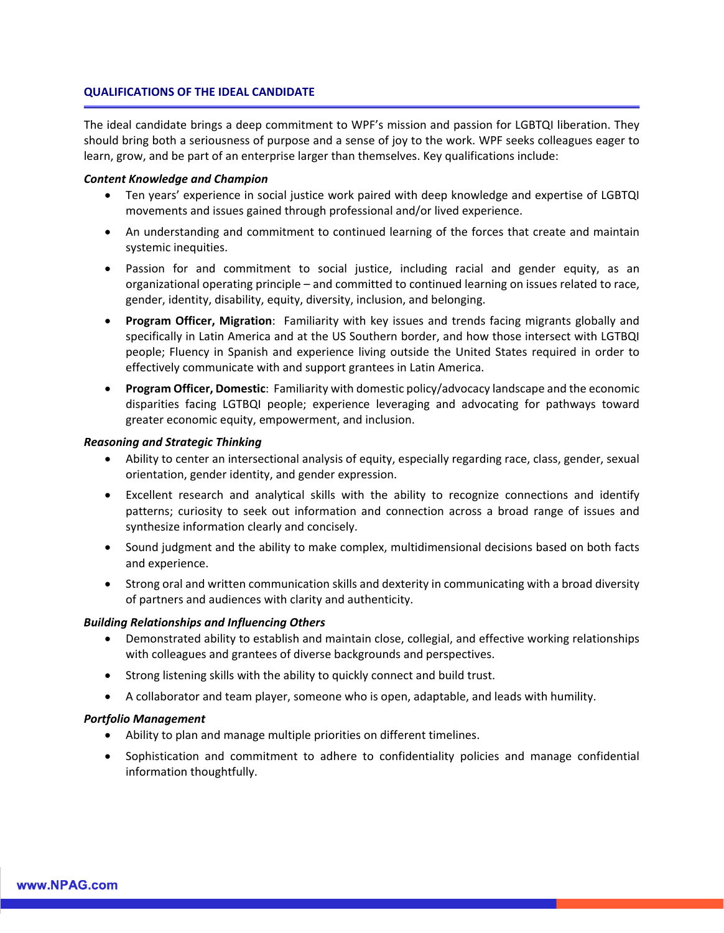### **QUALIFICATIONS OF THE IDEAL CANDIDATE**

The ideal candidate brings a deep commitment to WPF's mission and passion for LGBTQI liberation. They should bring both a seriousness of purpose and a sense of joy to the work. WPF seeks colleagues eager to learn, grow, and be part of an enterprise larger than themselves. Key qualifications include:

### *Content Knowledge and Champion*

- Ten years' experience in social justice work paired with deep knowledge and expertise of LGBTQI movements and issues gained through professional and/or lived experience.
- An understanding and commitment to continued learning of the forces that create and maintain systemic inequities.
- Passion for and commitment to social justice, including racial and gender equity, as an organizational operating principle – and committed to continued learning on issues related to race, gender, identity, disability, equity, diversity, inclusion, and belonging.
- **Program Officer, Migration**: Familiarity with key issues and trends facing migrants globally and specifically in Latin America and at the US Southern border, and how those intersect with LGTBQI people; Fluency in Spanish and experience living outside the United States required in order to effectively communicate with and support grantees in Latin America.
- **Program Officer, Domestic**: Familiarity with domestic policy/advocacy landscape and the economic disparities facing LGTBQI people; experience leveraging and advocating for pathways toward greater economic equity, empowerment, and inclusion.

### *Reasoning and Strategic Thinking*

- Ability to center an intersectional analysis of equity, especially regarding race, class, gender, sexual orientation, gender identity, and gender expression.
- Excellent research and analytical skills with the ability to recognize connections and identify patterns; curiosity to seek out information and connection across a broad range of issues and synthesize information clearly and concisely.
- Sound judgment and the ability to make complex, multidimensional decisions based on both facts and experience.
- Strong oral and written communication skills and dexterity in communicating with a broad diversity of partners and audiences with clarity and authenticity.

### *Building Relationships and Influencing Others*

- Demonstrated ability to establish and maintain close, collegial, and effective working relationships with colleagues and grantees of diverse backgrounds and perspectives.
- Strong listening skills with the ability to quickly connect and build trust.
- A collaborator and team player, someone who is open, adaptable, and leads with humility.

### *Portfolio Management*

- Ability to plan and manage multiple priorities on different timelines.
- Sophistication and commitment to adhere to confidentiality policies and manage confidential information thoughtfully.